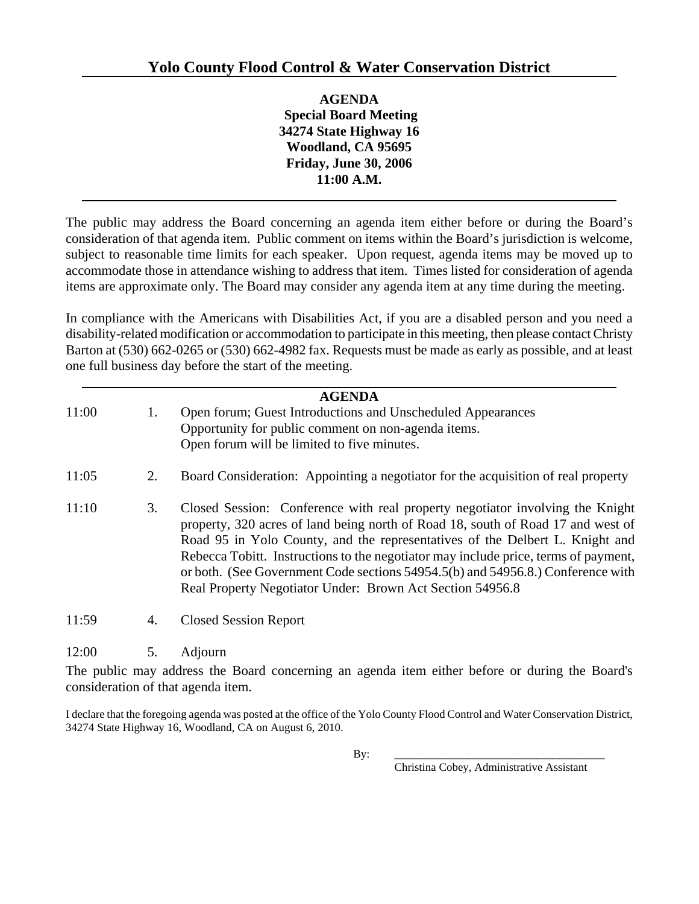**AGENDA Special Board Meeting 34274 State Highway 16 Woodland, CA 95695 Friday, June 30, 2006 11:00 A.M.** 

The public may address the Board concerning an agenda item either before or during the Board's consideration of that agenda item. Public comment on items within the Board's jurisdiction is welcome, subject to reasonable time limits for each speaker. Upon request, agenda items may be moved up to accommodate those in attendance wishing to address that item. Times listed for consideration of agenda items are approximate only. The Board may consider any agenda item at any time during the meeting.

In compliance with the Americans with Disabilities Act, if you are a disabled person and you need a disability-related modification or accommodation to participate in this meeting, then please contact Christy Barton at (530) 662-0265 or (530) 662-4982 fax. Requests must be made as early as possible, and at least one full business day before the start of the meeting.

| <b>AGENDA</b>  |     |                                                                                                                                                                                                                                                                                                                                                                                                                             |
|----------------|-----|-----------------------------------------------------------------------------------------------------------------------------------------------------------------------------------------------------------------------------------------------------------------------------------------------------------------------------------------------------------------------------------------------------------------------------|
| 11:00          | 1.  | Open forum; Guest Introductions and Unscheduled Appearances                                                                                                                                                                                                                                                                                                                                                                 |
|                |     | Opportunity for public comment on non-agenda items.                                                                                                                                                                                                                                                                                                                                                                         |
|                |     | Open forum will be limited to five minutes.                                                                                                                                                                                                                                                                                                                                                                                 |
| 11:05          | 2.  | Board Consideration: Appointing a negotiator for the acquisition of real property                                                                                                                                                                                                                                                                                                                                           |
| 11:10          | 3.  | Closed Session: Conference with real property negotiator involving the Knight<br>property, 320 acres of land being north of Road 18, south of Road 17 and west of<br>Road 95 in Yolo County, and the representatives of the Delbert L. Knight and<br>Rebecca Tobitt. Instructions to the negotiator may include price, terms of payment,<br>or both. (See Government Code sections 54954.5(b) and 54956.8.) Conference with |
|                |     | Real Property Negotiator Under: Brown Act Section 54956.8                                                                                                                                                                                                                                                                                                                                                                   |
| 11:59          | 4.  | <b>Closed Session Report</b>                                                                                                                                                                                                                                                                                                                                                                                                |
| 12:00          | 5.  | Adjourn                                                                                                                                                                                                                                                                                                                                                                                                                     |
| T <sub>1</sub> | 1.1 | $11 \t 1 \t 1$<br>$\mathbf{A}$ and $\mathbf{A}$ and $\mathbf{A}$                                                                                                                                                                                                                                                                                                                                                            |

The public may address the Board concerning an agenda item either before or during the Board's consideration of that agenda item.

I declare that the foregoing agenda was posted at the office of the Yolo County Flood Control and Water Conservation District, 34274 State Highway 16, Woodland, CA on August 6, 2010.

Christina Cobey, Administrative Assistant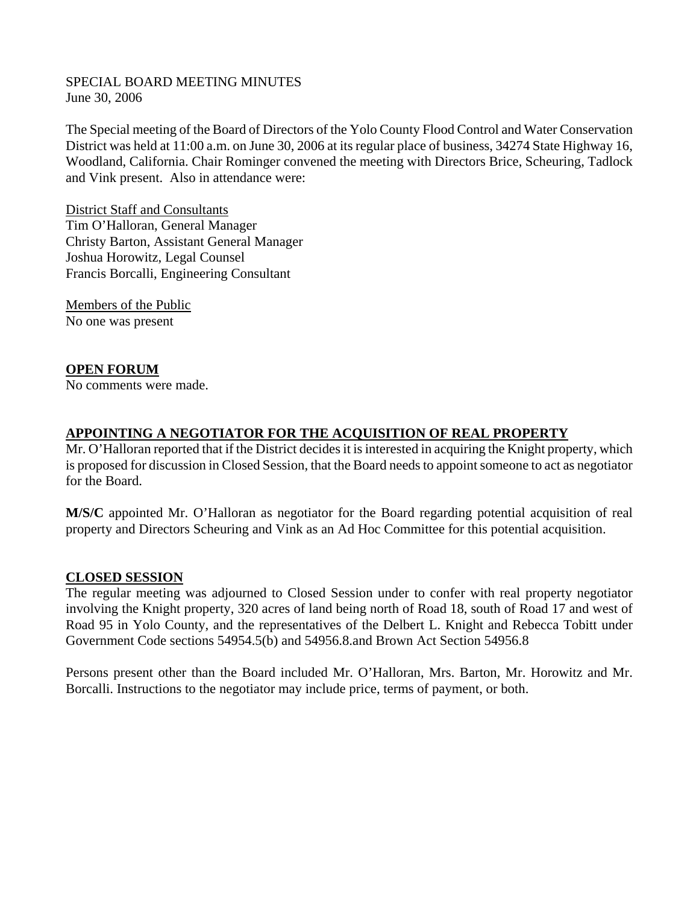#### SPECIAL BOARD MEETING MINUTES June 30, 2006

The Special meeting of the Board of Directors of the Yolo County Flood Control and Water Conservation District was held at 11:00 a.m. on June 30, 2006 at its regular place of business, 34274 State Highway 16, Woodland, California. Chair Rominger convened the meeting with Directors Brice, Scheuring, Tadlock and Vink present. Also in attendance were:

District Staff and Consultants Tim O'Halloran, General Manager Christy Barton, Assistant General Manager Joshua Horowitz, Legal Counsel Francis Borcalli, Engineering Consultant

Members of the Public No one was present

## **OPEN FORUM**

No comments were made.

### **APPOINTING A NEGOTIATOR FOR THE ACQUISITION OF REAL PROPERTY**

Mr. O'Halloran reported that if the District decides it is interested in acquiring the Knight property, which is proposed for discussion in Closed Session, that the Board needs to appoint someone to act as negotiator for the Board.

**M/S/C** appointed Mr. O'Halloran as negotiator for the Board regarding potential acquisition of real property and Directors Scheuring and Vink as an Ad Hoc Committee for this potential acquisition.

#### **CLOSED SESSION**

The regular meeting was adjourned to Closed Session under to confer with real property negotiator involving the Knight property, 320 acres of land being north of Road 18, south of Road 17 and west of Road 95 in Yolo County, and the representatives of the Delbert L. Knight and Rebecca Tobitt under Government Code sections 54954.5(b) and 54956.8.and Brown Act Section 54956.8

Persons present other than the Board included Mr. O'Halloran, Mrs. Barton, Mr. Horowitz and Mr. Borcalli. Instructions to the negotiator may include price, terms of payment, or both.